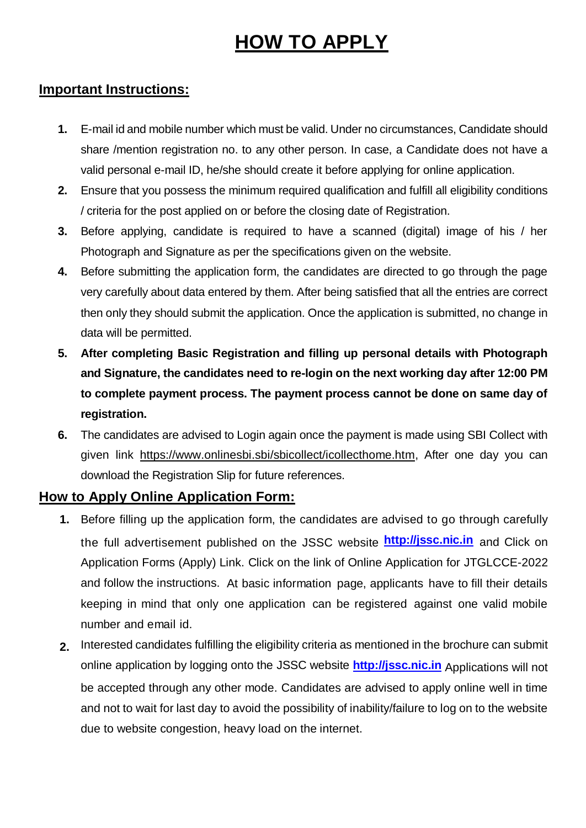# **HOW TO APPLY**

## **Important Instructions:**

- **1.** E-mail id and mobile number which must be valid. Under no circumstances, Candidate should share /mention registration no. to any other person. In case, a Candidate does not have a valid personal e-mail ID, he/she should create it before applying for online application.
- **2.** Ensure that you possess the minimum required qualification and fulfill all eligibility conditions / criteria for the post applied on or before the closing date of Registration.
- **3.** Before applying, candidate is required to have a scanned (digital) image of his / her Photograph and Signature as per the specifications given on the website.
- **4.** Before submitting the application form, the candidates are directed to go through the page very carefully about data entered by them. After being satisfied that all the entries are correct then only they should submit the application. Once the application is submitted, no change in data will be permitted.
- **5. After completing Basic Registration and filling up personal details with Photograph and Signature, the candidates need to re-login on the next working day after 12:00 PM to complete payment process. The payment process cannot be done on same day of registration.**
- **6.** The candidates are advised to Login again once the payment is made using SBI Collect with given link [https://www.onlinesbi.sbi/sbicollect/icollecthome.htm,](https://www.onlinesbi.sbi/sbicollect/icollecthome.htm) After one day you can download the Registration Slip for future references.

## **How to Apply Online Application Form:**

- **1.** Before filling up the application form, the candidates are advised to go through carefully the full advertisement published on the JSSC website **[http://jssc.nic.in](http://jssc.nic.in/)** and Click on Application Forms (Apply) Link. Click on the link of Online Application for JTGLCCE-2022 and follow the instructions. At basic information page, applicants have to fill their details keeping in mind that only one application can be registered against one valid mobile number and email id.
- **2.** Interested candidates fulfilling the eligibility criteria as mentioned in the brochure can submit online application by logging onto the JSSC website **[http://jssc.nic.in](http://jssc.nic.in/)** Applications will not be accepted through any other mode. Candidates are advised to apply online well in time and not to wait for last day to avoid the possibility of inability/failure to log on to the website due to website congestion, heavy load on the internet.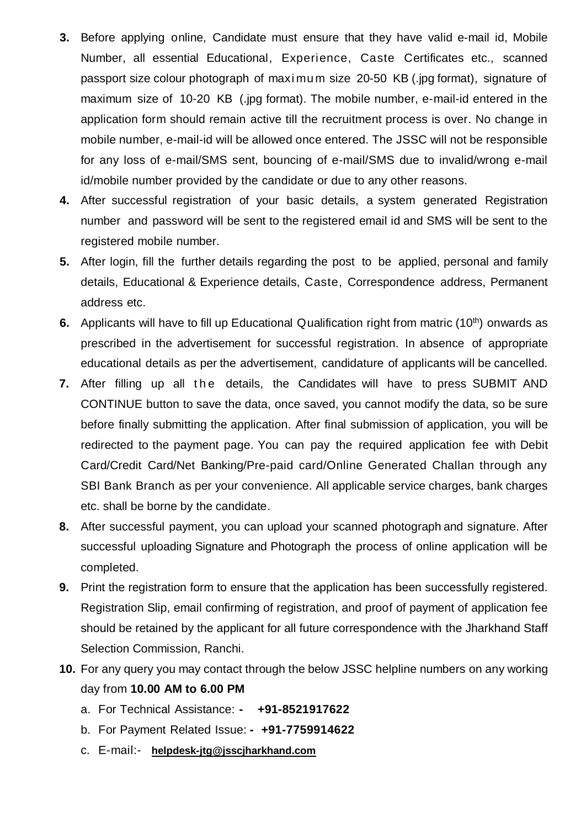- **3.** Before applying online, Candidate must ensure that they have valid e-mail id, Mobile Number, all essential Educational, Experience, Caste Certificates etc., scanned passport size colour photograph of maximum size 20-50 KB (.jpg format), signature of maximum size of 10-20 KB (.jpg format). The mobile number, e-mail-id entered in the application form should remain active till the recruitment process is over. No change in mobile number, e-mail-id will be allowed once entered. The JSSC will not be responsible for any loss of e-mail/SMS sent, bouncing of e-mail/SMS due to invalid/wrong e-mail id/mobile number provided by the candidate or due to any other reasons.
- **4.** After successful registration of your basic details, a system generated Registration number and password will be sent to the registered email id and SMS will be sent to the registered mobile number.
- **5.** After login, fill the further details regarding the post to be applied, personal and family details, Educational & Experience details, Caste, Correspondence address, Permanent address etc.
- **6.** Applicants will have to fill up Educational Qualification right from matric (10<sup>th</sup>) onwards as prescribed in the advertisement for successful registration. In absence of appropriate educational details as per the advertisement, candidature of applicants will be cancelled.
- **7.** After filling up all the details, the Candidates will have to press SUBMIT AND CONTINUE button to save the data, once saved, you cannot modify the data, so be sure before finally submitting the application. After final submission of application, you will be redirected to the payment page. You can pay the required application fee with Debit Card/Credit Card/Net Banking/Pre-paid card/Online Generated Challan through any SBI Bank Branch as per your convenience. All applicable service charges, bank charges etc. shall be borne by the candidate.
- **8.** After successful payment, you can upload your scanned photograph and signature. After successful uploading Signature and Photograph the process of online application will be completed.
- **9.** Print the registration form to ensure that the application has been successfully registered. Registration Slip, email confirming of registration, and proof of payment of application fee should be retained by the applicant for all future correspondence with the Jharkhand Staff Selection Commission, Ranchi.
- **10.** For any query you may contact through the below JSSC helpline numbers on any working day from **10.00 AM to 6.00 PM**
	- a. For Technical Assistance: **- +91-8521917622**
	- b. For Payment Related Issue: **- +91-7759914622**
	- c. E-mail:- **[helpdesk-jtg@jsscjharkhand.com](mailto:helpdesk@jsscjharkhand.com)**